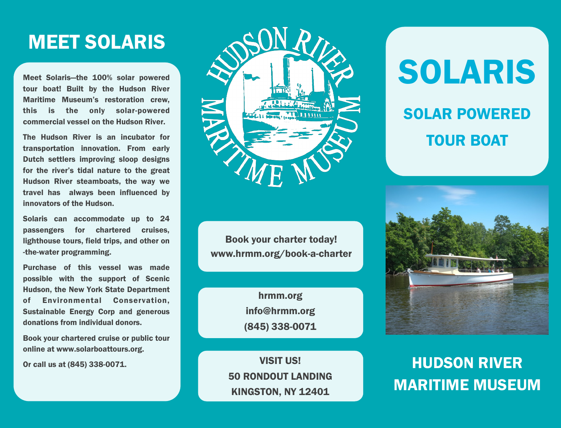# MEET SOLARIS

Meet Solaris—the 100% solar powered tour boat! Built by the Hudson River Maritime Museum's restoration crew, this is the only solar-powered commercial vessel on the Hudson River.

The Hudson River is an incubator for transportation innovation. From early Dutch settlers improving sloop designs for the river's tidal nature to the great Hudson River steamboats, the way we travel has always been influenced by innovators of the Hudson.

Solaris can accommodate up to 24 passengers for chartered cruises, lighthouse tours, field trips, and other on -the-water programming.

Purchase of this vessel was made possible with the support of Scenic Hudson, the New York State Department of Environmental Conservation, Sustainable Energy Corp and generous donations from individual donors.

Book your chartered cruise or public tour online at www.solarboattours.org.

Or call us at (845) 338-0071.



Book your charter today! www.hrmm.org/book-a-charter

> hrmm.org info@hrmm.org (845) 338-0071

VISIT US! 50 RONDOUT LANDING KINGSTON, NY 12401

# SOLARIS SOLAR POWERED TOUR BOAT



# HUDSON RIVER MARITIME MUSEUM